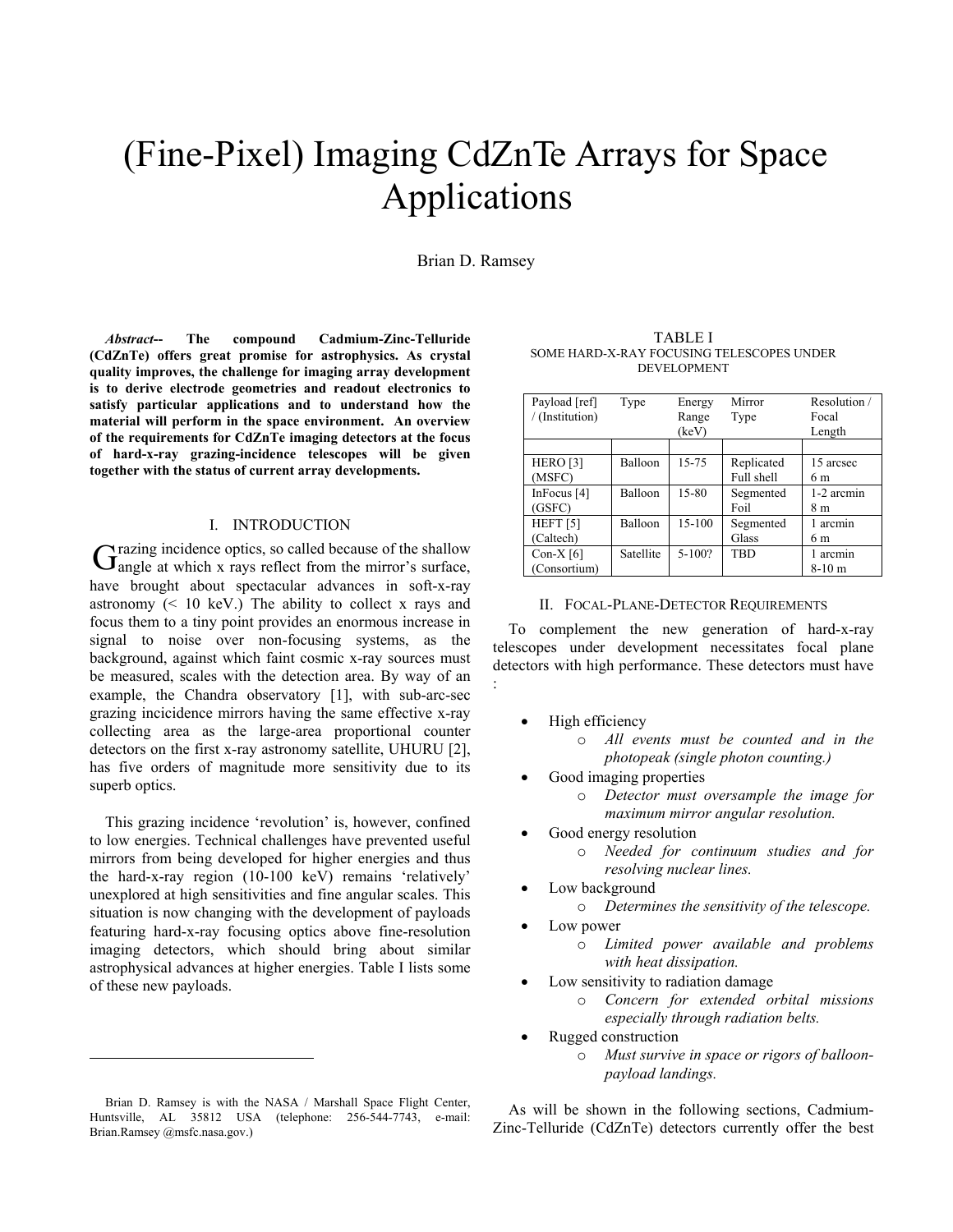# (Fine-Pixel) Imaging CdZnTe Arrays for Space Applications

Brian D. Ramsey

*Abstract***-- The compound Cadmium-Zinc-Telluride (CdZnTe) offers great promise for astrophysics. As crystal quality improves, the challenge for imaging array development is to derive electrode geometries and readout electronics to satisfy particular applications and to understand how the material will perform in the space environment. An overview of the requirements for CdZnTe imaging detectors at the focus of hard-x-ray grazing-incidence telescopes will be given together with the status of current array developments.** 

#### I. INTRODUCTION

Grazing incidence optics, so called because of the shallow angle at which x rays reflect from the mirror's surface, have brought about spectacular advances in soft-x-ray astronomy  $(< 10 \text{ keV})$ . The ability to collect x rays and focus them to a tiny point provides an enormous increase in signal to noise over non-focusing systems, as the background, against which faint cosmic x-ray sources must be measured, scales with the detection area. By way of an example, the Chandra observatory [1], with sub-arc-sec grazing incicidence mirrors having the same effective x-ray collecting area as the large-area proportional counter detectors on the first x-ray astronomy satellite, UHURU [2], has five orders of magnitude more sensitivity due to its superb optics.

*maximum mirror angular resolution.* This grazing incidence 'revolution' is, however, confined to low energies. Technical challenges have prevented useful mirrors from being developed for higher energies and thus the hard-x-ray region (10-100 keV) remains 'relatively' unexplored at high sensitivities and fine angular scales. This situation is now changing with the development of payloads featuring hard-x-ray focusing optics above fine-resolution imaging detectors, which should bring about similar astrophysical advances at higher energies. Table I lists some of these new payloads.

TABLE I SOME HARD-X-RAY FOCUSING TELESCOPES UNDER DEVELOPMENT

| Payload [ref]       | Type      | Energy    | Mirror     | Resolution /   |
|---------------------|-----------|-----------|------------|----------------|
| / (Institution)     |           | Range     | Type       | Focal          |
|                     |           | (keV)     |            | Length         |
|                     |           |           |            |                |
| HERO <sup>[3]</sup> | Balloon   | $15 - 75$ | Replicated | 15 arcsec      |
| (MSFC)              |           |           | Full shell | 6 m            |
| InFocus $[4]$       | Balloon   | $15 - 80$ | Segmented  | 1-2 arcmin     |
| (GSFC)              |           |           | Foil       | 8 <sub>m</sub> |
| HEFT <sub>[5]</sub> | Balloon   | 15-100    | Segmented  | 1 arcmin       |
| (Caltech)           |           |           | Glass      | 6 m            |
| Con- $X[6]$         | Satellite | 5-100?    | <b>TBD</b> | 1 arcmin       |
| (Consortium)        |           |           |            | $8-10$ m       |

#### II. FOCAL-PLANE-DETECTOR REQUIREMENTS

To complement the new generation of hard-x-ray telescopes under development necessitates focal plane detectors with high performance. These detectors must have :

- High efficiency
	- o *All events must be counted and in the photopeak (single photon counting.)*
- Good imaging properties
	- o *Detector must oversample the image for*
- Good energy resolution
	- o *Needed for continuum studies and for resolving nuclear lines.*
- Low background
	- o *Determines the sensitivity of the telescope.*
- Low power
	- o *Limited power available and problems with heat dissipation.*
- Low sensitivity to radiation damage
	- o *Concern for extended orbital missions especially through radiation belts.*
- Rugged construction
	- o *Must survive in space or rigors of balloonpayload landings.*

As will be shown in the following sections, Cadmium-Zinc-Telluride (CdZnTe) detectors currently offer the best

Brian D. Ramsey is with the NASA / Marshall Space Flight Center, Huntsville, AL 35812 USA (telephone: 256-544-7743, e-mail: Brian.Ramsey @msfc.nasa.gov.)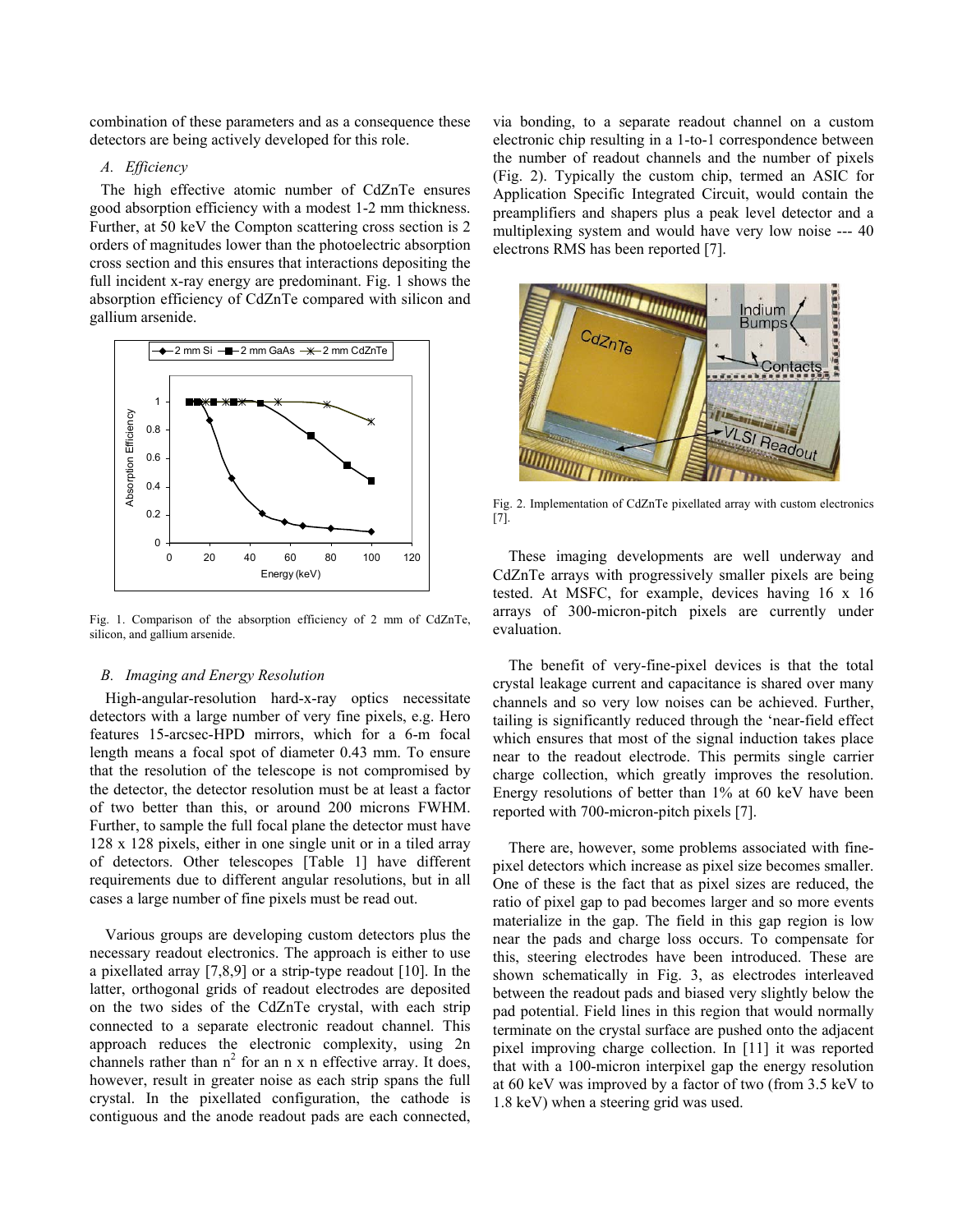combination of these parameters and as a consequence these detectors are being actively developed for this role.

## *A. Efficiency*

The high effective atomic number of CdZnTe ensures good absorption efficiency with a modest 1-2 mm thickness. Further, at 50 keV the Compton scattering cross section is 2 orders of magnitudes lower than the photoelectric absorption cross section and this ensures that interactions depositing the full incident x-ray energy are predominant. Fig. 1 shows the absorption efficiency of CdZnTe compared with silicon and gallium arsenide.



Fig. 1. Comparison of the absorption efficiency of 2 mm of CdZnTe, silicon, and gallium arsenide.

# *B. Imaging and Energy Resolution*

High-angular-resolution hard-x-ray optics necessitate detectors with a large number of very fine pixels, e.g. Hero features 15-arcsec-HPD mirrors, which for a 6-m focal length means a focal spot of diameter 0.43 mm. To ensure that the resolution of the telescope is not compromised by the detector, the detector resolution must be at least a factor of two better than this, or around 200 microns FWHM. Further, to sample the full focal plane the detector must have 128 x 128 pixels, either in one single unit or in a tiled array of detectors. Other telescopes [Table 1] have different requirements due to different angular resolutions, but in all cases a large number of fine pixels must be read out.

Various groups are developing custom detectors plus the necessary readout electronics. The approach is either to use a pixellated array [7,8,9] or a strip-type readout [10]. In the latter, orthogonal grids of readout electrodes are deposited on the two sides of the CdZnTe crystal, with each strip connected to a separate electronic readout channel. This approach reduces the electronic complexity, using 2n channels rather than  $n^2$  for an n x n effective array. It does, however, result in greater noise as each strip spans the full crystal. In the pixellated configuration, the cathode is contiguous and the anode readout pads are each connected, via bonding, to a separate readout channel on a custom electronic chip resulting in a 1-to-1 correspondence between the number of readout channels and the number of pixels (Fig. 2). Typically the custom chip, termed an ASIC for Application Specific Integrated Circuit, would contain the preamplifiers and shapers plus a peak level detector and a multiplexing system and would have very low noise --- 40 electrons RMS has been reported [7].



Fig. 2. Implementation of CdZnTe pixellated array with custom electronics [7].

These imaging developments are well underway and CdZnTe arrays with progressively smaller pixels are being tested. At MSFC, for example, devices having 16 x 16 arrays of 300-micron-pitch pixels are currently under evaluation.

The benefit of very-fine-pixel devices is that the total crystal leakage current and capacitance is shared over many channels and so very low noises can be achieved. Further, tailing is significantly reduced through the 'near-field effect which ensures that most of the signal induction takes place near to the readout electrode. This permits single carrier charge collection, which greatly improves the resolution. Energy resolutions of better than 1% at 60 keV have been reported with 700-micron-pitch pixels [7].

There are, however, some problems associated with finepixel detectors which increase as pixel size becomes smaller. One of these is the fact that as pixel sizes are reduced, the ratio of pixel gap to pad becomes larger and so more events materialize in the gap. The field in this gap region is low near the pads and charge loss occurs. To compensate for this, steering electrodes have been introduced. These are shown schematically in Fig. 3, as electrodes interleaved between the readout pads and biased very slightly below the pad potential. Field lines in this region that would normally terminate on the crystal surface are pushed onto the adjacent pixel improving charge collection. In [11] it was reported that with a 100-micron interpixel gap the energy resolution at 60 keV was improved by a factor of two (from 3.5 keV to 1.8 keV) when a steering grid was used.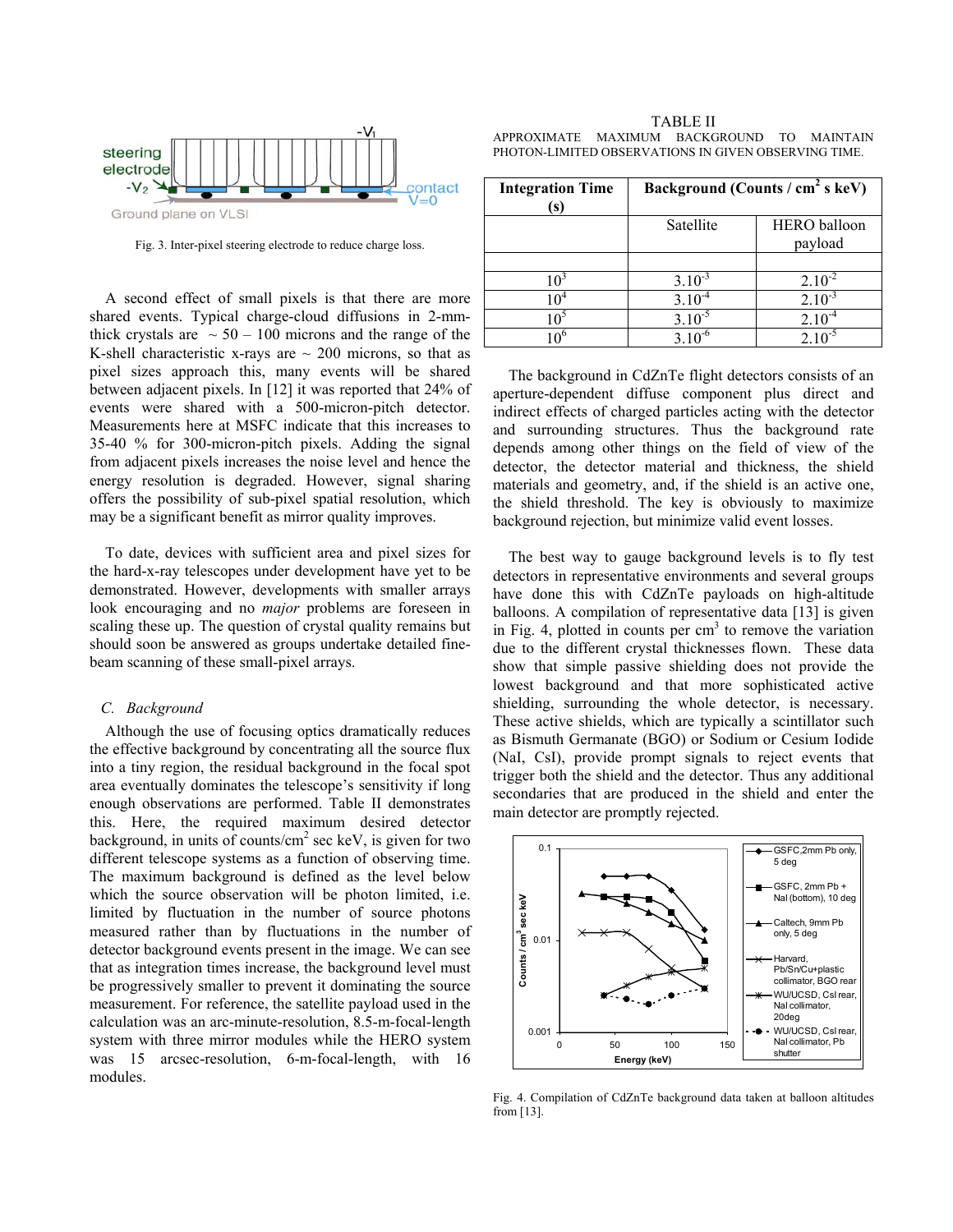

Fig. 3. Inter-pixel steering electrode to reduce charge loss.

A second effect of small pixels is that there are more shared events. Typical charge-cloud diffusions in 2-mmthick crystals are  $\sim 50 - 100$  microns and the range of the K-shell characteristic x-rays are  $\sim$  200 microns, so that as pixel sizes approach this, many events will be shared between adjacent pixels. In [12] it was reported that 24% of events were shared with a 500-micron-pitch detector. Measurements here at MSFC indicate that this increases to 35-40 % for 300-micron-pitch pixels. Adding the signal from adjacent pixels increases the noise level and hence the energy resolution is degraded. However, signal sharing offers the possibility of sub-pixel spatial resolution, which may be a significant benefit as mirror quality improves.

 To date, devices with sufficient area and pixel sizes for the hard-x-ray telescopes under development have yet to be demonstrated. However, developments with smaller arrays look encouraging and no *major* problems are foreseen in scaling these up. The question of crystal quality remains but should soon be answered as groups undertake detailed finebeam scanning of these small-pixel arrays.

## *C. Background*

Although the use of focusing optics dramatically reduces the effective background by concentrating all the source flux into a tiny region, the residual background in the focal spot area eventually dominates the telescope's sensitivity if long enough observations are performed. Table II demonstrates this. Here, the required maximum desired detector background, in units of counts/cm<sup>2</sup> sec keV, is given for two different telescope systems as a function of observing time. The maximum background is defined as the level below which the source observation will be photon limited, *i.e.* limited by fluctuation in the number of source photons measured rather than by fluctuations in the number of detector background events present in the image. We can see that as integration times increase, the background level must be progressively smaller to prevent it dominating the source measurement. For reference, the satellite payload used in the calculation was an arc-minute-resolution, 8.5-m-focal-length system with three mirror modules while the HERO system was 15 arcsec-resolution, 6-m-focal-length, with 16 modules.

TABLE II APPROXIMATE MAXIMUM BACKGROUND TO MAINTAIN PHOTON-LIMITED OBSERVATIONS IN GIVEN OBSERVING TIME.

| <b>Integration Time</b><br>(s) | Background (Counts / cm <sup>2</sup> s keV) |                         |  |
|--------------------------------|---------------------------------------------|-------------------------|--|
|                                | Satellite                                   | HERO balloon<br>payload |  |
|                                |                                             |                         |  |
| ۱O                             | $3.10^{-3}$                                 | $2.10^{-2}$             |  |
| 10 <sup>4</sup>                | $3.10^{4}$                                  | $2.10^{-3}$             |  |
|                                | $3.10^{-5}$                                 | $2.10^{-4}$             |  |
|                                |                                             |                         |  |

The background in CdZnTe flight detectors consists of an aperture-dependent diffuse component plus direct and indirect effects of charged particles acting with the detector and surrounding structures. Thus the background rate depends among other things on the field of view of the detector, the detector material and thickness, the shield materials and geometry, and, if the shield is an active one, the shield threshold. The key is obviously to maximize background rejection, but minimize valid event losses.

The best way to gauge background levels is to fly test detectors in representative environments and several groups have done this with CdZnTe payloads on high-altitude balloons. A compilation of representative data [13] is given in Fig. 4, plotted in counts per  $cm<sup>3</sup>$  to remove the variation due to the different crystal thicknesses flown. These data show that simple passive shielding does not provide the lowest background and that more sophisticated active shielding, surrounding the whole detector, is necessary. These active shields, which are typically a scintillator such as Bismuth Germanate (BGO) or Sodium or Cesium Iodide (NaI, CsI), provide prompt signals to reject events that trigger both the shield and the detector. Thus any additional secondaries that are produced in the shield and enter the main detector are promptly rejected.



Fig. 4. Compilation of CdZnTe background data taken at balloon altitudes from [13].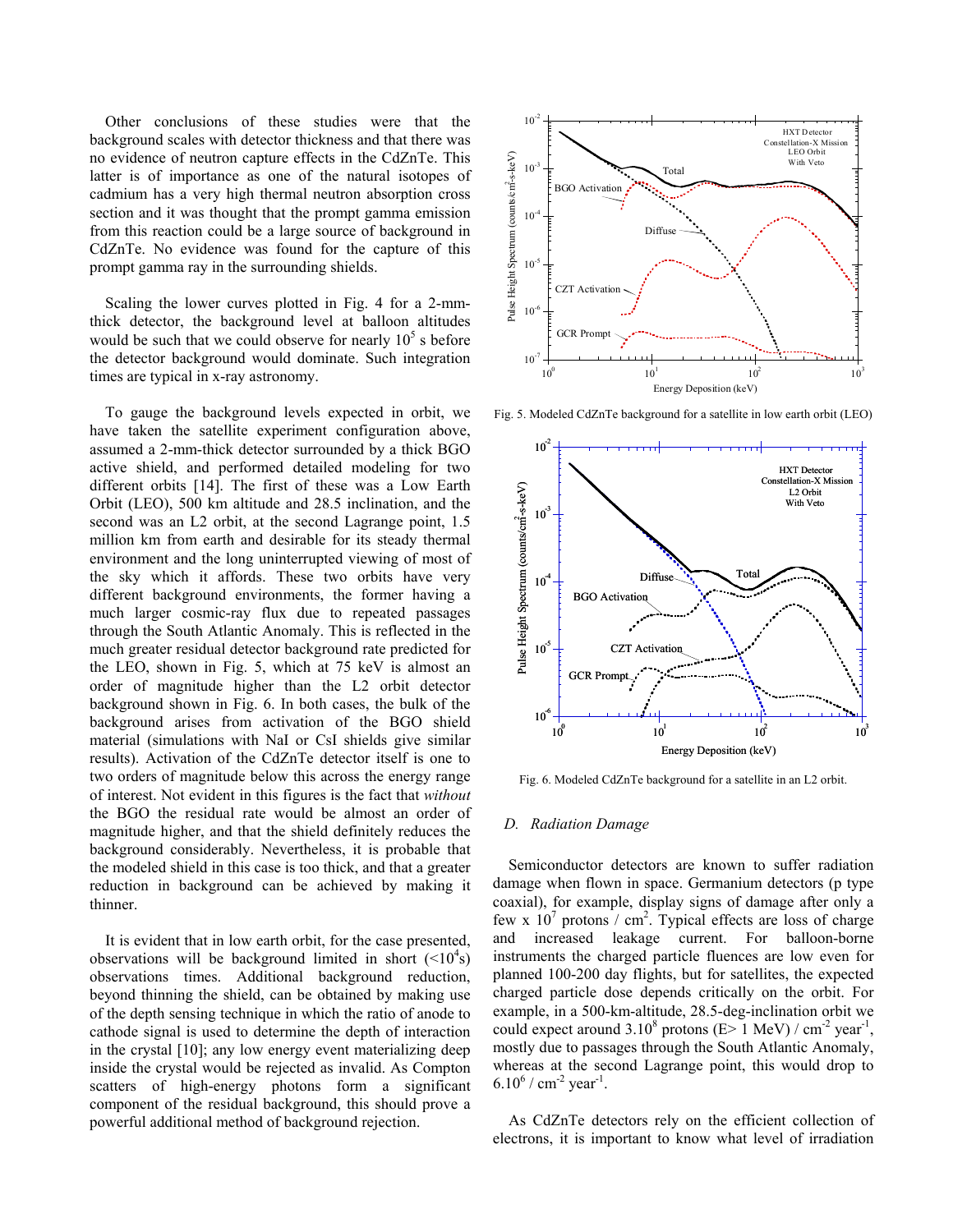Other conclusions of these studies were that the background scales with detector thickness and that there was no evidence of neutron capture effects in the CdZnTe. This latter is of importance as one of the natural isotopes of cadmium has a very high thermal neutron absorption cross section and it was thought that the prompt gamma emission from this reaction could be a large source of background in CdZnTe. No evidence was found for the capture of this prompt gamma ray in the surrounding shields.

Scaling the lower curves plotted in Fig. 4 for a 2-mmthick detector, the background level at balloon altitudes would be such that we could observe for nearly  $10^5$  s before the detector background would dominate. Such integration times are typical in x-ray astronomy.

To gauge the background levels expected in orbit, we have taken the satellite experiment configuration above, assumed a 2-mm-thick detector surrounded by a thick BGO active shield, and performed detailed modeling for two different orbits [14]. The first of these was a Low Earth Orbit (LEO), 500 km altitude and 28.5 inclination, and the second was an L2 orbit, at the second Lagrange point, 1.5 million km from earth and desirable for its steady thermal environment and the long uninterrupted viewing of most of the sky which it affords. These two orbits have very different background environments, the former having a much larger cosmic-ray flux due to repeated passages through the South Atlantic Anomaly. This is reflected in the much greater residual detector background rate predicted for the LEO, shown in Fig. 5, which at 75 keV is almost an order of magnitude higher than the L2 orbit detector background shown in Fig. 6. In both cases, the bulk of the background arises from activation of the BGO shield material (simulations with NaI or CsI shields give similar results). Activation of the CdZnTe detector itself is one to two orders of magnitude below this across the energy range of interest. Not evident in this figures is the fact that *without* the BGO the residual rate would be almost an order of magnitude higher, and that the shield definitely reduces the background considerably. Nevertheless, it is probable that the modeled shield in this case is too thick, and that a greater reduction in background can be achieved by making it thinner.

It is evident that in low earth orbit, for the case presented, observations will be background limited in short  $(\leq 10^4 s)$ observations times. Additional background reduction, beyond thinning the shield, can be obtained by making use of the depth sensing technique in which the ratio of anode to cathode signal is used to determine the depth of interaction in the crystal [10]; any low energy event materializing deep inside the crystal would be rejected as invalid. As Compton scatters of high-energy photons form a significant component of the residual background, this should prove a powerful additional method of background rejection. As CdZnTe detectors rely on the efficient collection of



Fig. 5. Modeled CdZnTe background for a satellite in low earth orbit (LEO)



Fig. 6. Modeled CdZnTe background for a satellite in an L2 orbit.

#### *D. Radiation Damage*

Semiconductor detectors are known to suffer radiation damage when flown in space. Germanium detectors (p type coaxial), for example, display signs of damage after only a few x  $10^7$  protons / cm<sup>2</sup>. Typical effects are loss of charge and increased leakage current. For balloon-borne instruments the charged particle fluences are low even for planned 100-200 day flights, but for satellites, the expected charged particle dose depends critically on the orbit. For example, in a 500-km-altitude, 28.5-deg-inclination orbit we could expect around  $3.10^8$  protons (E> 1 MeV) / cm<sup>-2</sup> year<sup>-1</sup>, mostly due to passages through the South Atlantic Anomaly, whereas at the second Lagrange point, this would drop to  $6.10^6 / \text{ cm}^2 \text{ year}^1$ .

electrons, it is important to know what level of irradiation